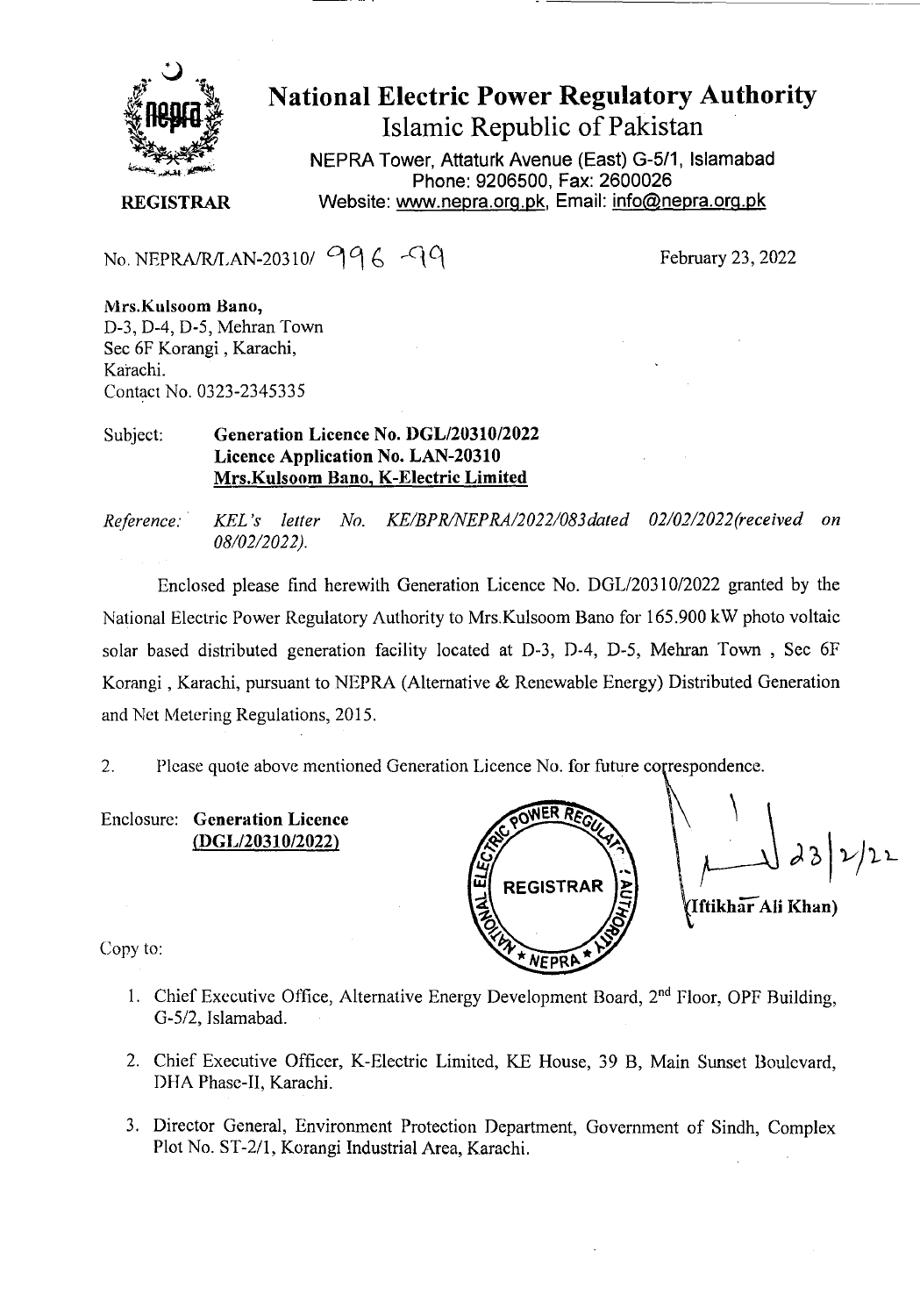

# National Electric Power Regulatory Authority Islamic Republic of Pakistan

**NEPRA Tower, Attaturk Avenue (East) G-5/1, Islamabad Phone: 9206500, Fax: 2600026 REGISTRAR** Website: www.nepra.org.pk, Email: info@nepra.org.pk

No. NEPRA/R/LAN-20310/  $996 - 9$ <br>February 23, 2022

**Mrs.KLilsoom Bano,**  D-3, D-4, D-5, Mehran Town Sec 6F Korangi , Karachi, Karachi. Contact No. 0323-2345335

#### Subject: **Generation Licence No.** *DGL12031012022*  **Licence Application No. LAN-20310 Mrs.Kulsoom Bano, K-Electric Limited**

*Reference. KEL 's letter No. KE/BPR/NEPRA/2022/083dated 02/02/2022(received on*  08/02/2022).

Enclosed please find herewith Generation Licence No. DGL/20310/2022 granted by the National Electric Power Regulatory Authority to Mrs.Kulsoom Bano for 165.900 kW photo voltaic solar based distributed generation facility located at D-3, D-4, D-5, Mehran Town , Sec 6F Korangi , Karachi, pursuant to NEPRA (Alternative & Renewable Energy) Distributed Generation and Net Metering Regulations, 2015.

2. Please quote above mentioned Generation Licence No. for future correspondence.

**Enclosure: Generation Licence (DGL/20310/2022)** 

**<sup>W</sup>REGISTRAR**   $NFPR$ **Iftikhar Ali Khan)** 

Copy to:

- 1. Chief Executive Office, Alternative Energy Development Board,  $2<sup>nd</sup>$  Floor, OPF Building, *G-512,* Jslamabad.
- 2. Chief Executive Officer, K-Electric Limited, KE House, *39* B, Main Sunset Boulevard, DHA Phase-II, Karachi.
- 3. Director General, Environment Protection Department, Government of Sindh, Complex Plot No. ST-2/1, Korangi Industrial Area, Karachi.